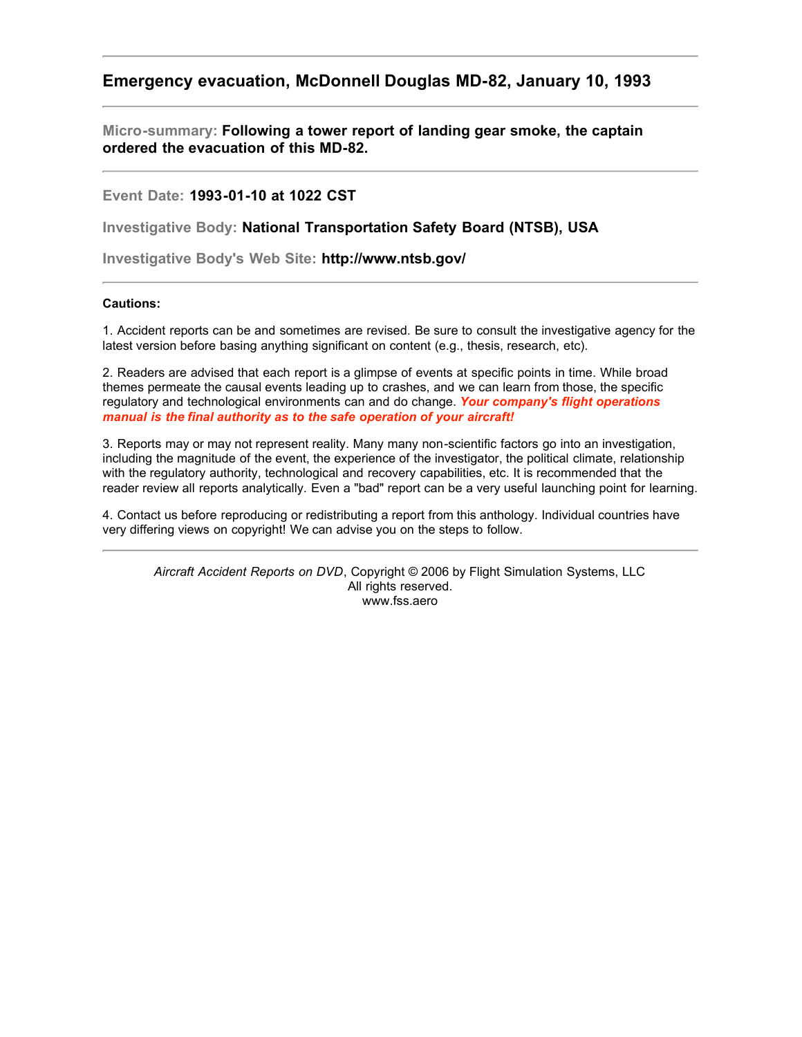## **Emergency evacuation, McDonnell Douglas MD-82, January 10, 1993**

**Micro-summary: Following a tower report of landing gear smoke, the captain ordered the evacuation of this MD-82.**

**Event Date: 1993-01-10 at 1022 CST**

**Investigative Body: National Transportation Safety Board (NTSB), USA**

**Investigative Body's Web Site: http://www.ntsb.gov/**

## **Cautions:**

1. Accident reports can be and sometimes are revised. Be sure to consult the investigative agency for the latest version before basing anything significant on content (e.g., thesis, research, etc).

2. Readers are advised that each report is a glimpse of events at specific points in time. While broad themes permeate the causal events leading up to crashes, and we can learn from those, the specific regulatory and technological environments can and do change. *Your company's flight operations manual is the final authority as to the safe operation of your aircraft!*

3. Reports may or may not represent reality. Many many non-scientific factors go into an investigation, including the magnitude of the event, the experience of the investigator, the political climate, relationship with the regulatory authority, technological and recovery capabilities, etc. It is recommended that the reader review all reports analytically. Even a "bad" report can be a very useful launching point for learning.

4. Contact us before reproducing or redistributing a report from this anthology. Individual countries have very differing views on copyright! We can advise you on the steps to follow.

*Aircraft Accident Reports on DVD*, Copyright © 2006 by Flight Simulation Systems, LLC All rights reserved. www.fss.aero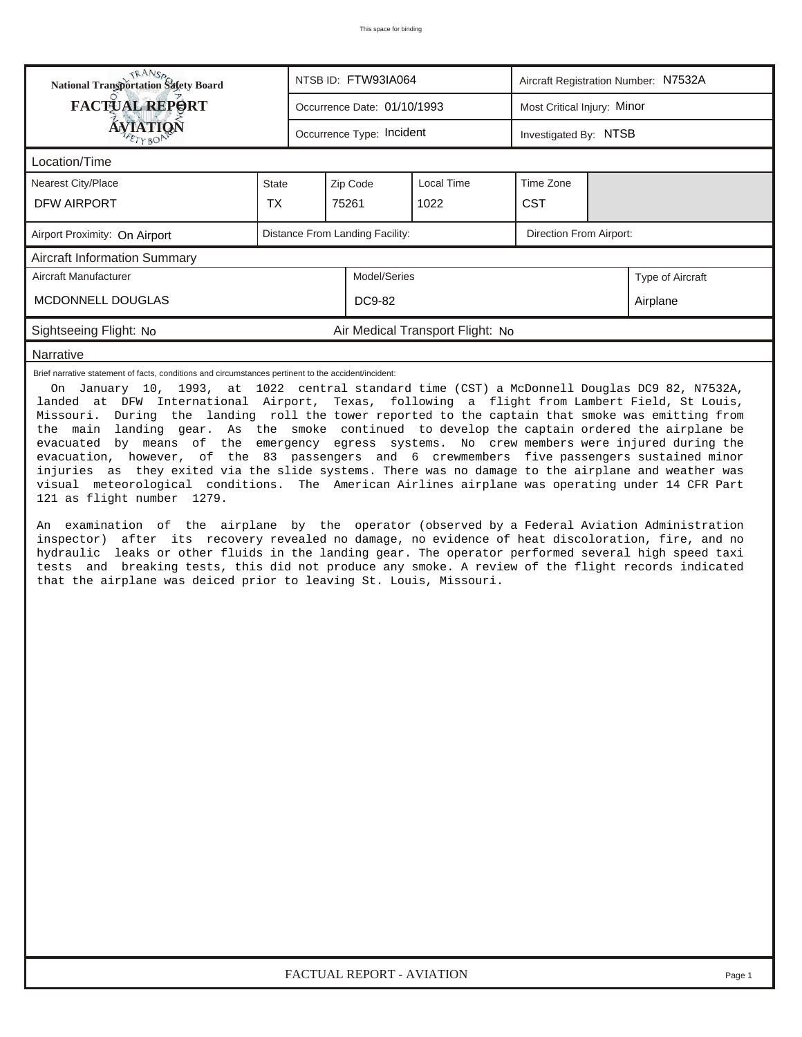| <b>National Transportation Safety Board</b>                                                                                                                                                                                                                                                                                                                                                                                                                                                                                                                                                                                                                                                                                                                                                                                                                                                                                                                                                                                                                                                                                                                                                                                     |              | NTSB ID: FTW93IA064             |                                  | Aircraft Registration Number: N7532A |                  |  |  |  |  |
|---------------------------------------------------------------------------------------------------------------------------------------------------------------------------------------------------------------------------------------------------------------------------------------------------------------------------------------------------------------------------------------------------------------------------------------------------------------------------------------------------------------------------------------------------------------------------------------------------------------------------------------------------------------------------------------------------------------------------------------------------------------------------------------------------------------------------------------------------------------------------------------------------------------------------------------------------------------------------------------------------------------------------------------------------------------------------------------------------------------------------------------------------------------------------------------------------------------------------------|--------------|---------------------------------|----------------------------------|--------------------------------------|------------------|--|--|--|--|
| <b>FACTUAL REPORT</b>                                                                                                                                                                                                                                                                                                                                                                                                                                                                                                                                                                                                                                                                                                                                                                                                                                                                                                                                                                                                                                                                                                                                                                                                           |              | Occurrence Date: 01/10/1993     |                                  | Most Critical Injury: Minor          |                  |  |  |  |  |
| <b>ÁVIATION</b>                                                                                                                                                                                                                                                                                                                                                                                                                                                                                                                                                                                                                                                                                                                                                                                                                                                                                                                                                                                                                                                                                                                                                                                                                 |              | Occurrence Type: Incident       |                                  | Investigated By: NTSB                |                  |  |  |  |  |
| Location/Time                                                                                                                                                                                                                                                                                                                                                                                                                                                                                                                                                                                                                                                                                                                                                                                                                                                                                                                                                                                                                                                                                                                                                                                                                   |              |                                 |                                  |                                      |                  |  |  |  |  |
| Nearest City/Place                                                                                                                                                                                                                                                                                                                                                                                                                                                                                                                                                                                                                                                                                                                                                                                                                                                                                                                                                                                                                                                                                                                                                                                                              | <b>State</b> | Zip Code                        | Local Time                       | Time Zone                            |                  |  |  |  |  |
| <b>DFW AIRPORT</b>                                                                                                                                                                                                                                                                                                                                                                                                                                                                                                                                                                                                                                                                                                                                                                                                                                                                                                                                                                                                                                                                                                                                                                                                              | <b>TX</b>    | 75261                           | 1022                             | <b>CST</b>                           |                  |  |  |  |  |
| Airport Proximity: On Airport                                                                                                                                                                                                                                                                                                                                                                                                                                                                                                                                                                                                                                                                                                                                                                                                                                                                                                                                                                                                                                                                                                                                                                                                   |              | Distance From Landing Facility: |                                  | Direction From Airport:              |                  |  |  |  |  |
| <b>Aircraft Information Summary</b>                                                                                                                                                                                                                                                                                                                                                                                                                                                                                                                                                                                                                                                                                                                                                                                                                                                                                                                                                                                                                                                                                                                                                                                             |              |                                 |                                  |                                      |                  |  |  |  |  |
| Aircraft Manufacturer                                                                                                                                                                                                                                                                                                                                                                                                                                                                                                                                                                                                                                                                                                                                                                                                                                                                                                                                                                                                                                                                                                                                                                                                           |              | Model/Series                    |                                  |                                      | Type of Aircraft |  |  |  |  |
| MCDONNELL DOUGLAS                                                                                                                                                                                                                                                                                                                                                                                                                                                                                                                                                                                                                                                                                                                                                                                                                                                                                                                                                                                                                                                                                                                                                                                                               |              | DC9-82                          | Airplane                         |                                      |                  |  |  |  |  |
| Sightseeing Flight: No                                                                                                                                                                                                                                                                                                                                                                                                                                                                                                                                                                                                                                                                                                                                                                                                                                                                                                                                                                                                                                                                                                                                                                                                          |              |                                 | Air Medical Transport Flight: No |                                      |                  |  |  |  |  |
| Narrative                                                                                                                                                                                                                                                                                                                                                                                                                                                                                                                                                                                                                                                                                                                                                                                                                                                                                                                                                                                                                                                                                                                                                                                                                       |              |                                 |                                  |                                      |                  |  |  |  |  |
| landed at DFW International Airport, Texas, following a flight from Lambert Field, St Louis,<br>Missouri. During the landing roll the tower reported to the captain that smoke was emitting from<br>the main landing gear. As the smoke continued to develop the captain ordered the airplane be<br>evacuated by means of the emergency egress systems. No crew members were injured during the<br>evacuation, however, of the 83 passengers and 6 crewmembers five passengers sustained minor<br>injuries as they exited via the slide systems. There was no damage to the airplane and weather was<br>visual meteorological conditions. The American Airlines airplane was operating under 14 CFR Part<br>121 as flight number 1279.<br>An examination of the airplane by the operator (observed by a Federal Aviation Administration<br>inspector) after its recovery revealed no damage, no evidence of heat discoloration, fire, and no<br>hydraulic leaks or other fluids in the landing gear. The operator performed several high speed taxi<br>tests and breaking tests, this did not produce any smoke. A review of the flight records indicated<br>that the airplane was deiced prior to leaving St. Louis, Missouri. |              |                                 |                                  |                                      |                  |  |  |  |  |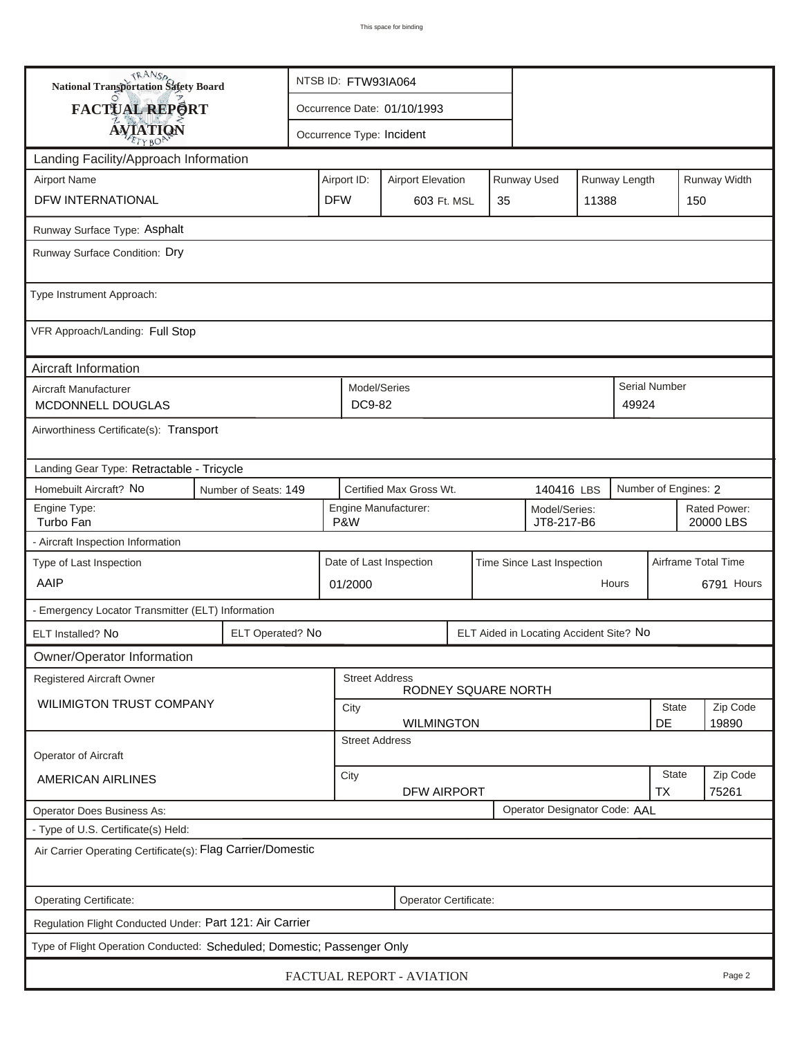| <b>National Transportation Safety Board</b>                                             | NTSB ID: FTW93IA064                                                                            |                                                             |  |                                                       |  |  |                           |                      |  |                     |          |
|-----------------------------------------------------------------------------------------|------------------------------------------------------------------------------------------------|-------------------------------------------------------------|--|-------------------------------------------------------|--|--|---------------------------|----------------------|--|---------------------|----------|
| <b>FACTUAL REPORT</b>                                                                   | Occurrence Date: 01/10/1993                                                                    |                                                             |  |                                                       |  |  |                           |                      |  |                     |          |
| <b>AVIATION</b>                                                                         | Occurrence Type: Incident                                                                      |                                                             |  |                                                       |  |  |                           |                      |  |                     |          |
| Landing Facility/Approach Information                                                   |                                                                                                |                                                             |  |                                                       |  |  |                           |                      |  |                     |          |
| <b>Airport Name</b>                                                                     | Runway Width<br><b>Runway Used</b><br>Runway Length<br>Airport ID:<br><b>Airport Elevation</b> |                                                             |  |                                                       |  |  |                           |                      |  |                     |          |
| DFW INTERNATIONAL                                                                       | <b>DFW</b>                                                                                     | 603 Ft. MSL<br>11388<br>35                                  |  |                                                       |  |  |                           | 150                  |  |                     |          |
| Runway Surface Type: Asphalt                                                            |                                                                                                |                                                             |  |                                                       |  |  |                           |                      |  |                     |          |
| Runway Surface Condition: Dry                                                           |                                                                                                |                                                             |  |                                                       |  |  |                           |                      |  |                     |          |
|                                                                                         |                                                                                                |                                                             |  |                                                       |  |  |                           |                      |  |                     |          |
| Type Instrument Approach:                                                               |                                                                                                |                                                             |  |                                                       |  |  |                           |                      |  |                     |          |
| VFR Approach/Landing: Full Stop                                                         |                                                                                                |                                                             |  |                                                       |  |  |                           |                      |  |                     |          |
| Aircraft Information                                                                    |                                                                                                |                                                             |  |                                                       |  |  |                           |                      |  |                     |          |
| Aircraft Manufacturer<br>MCDONNELL DOUGLAS                                              | Model/Series<br>DC9-82<br>49924                                                                |                                                             |  |                                                       |  |  |                           | <b>Serial Number</b> |  |                     |          |
| Airworthiness Certificate(s): Transport                                                 |                                                                                                |                                                             |  |                                                       |  |  |                           |                      |  |                     |          |
| Landing Gear Type: Retractable - Tricycle                                               |                                                                                                |                                                             |  |                                                       |  |  |                           |                      |  |                     |          |
| Homebuilt Aircraft? No<br>Certified Max Gross Wt.<br>Number of Seats: 149<br>140416 LBS |                                                                                                |                                                             |  |                                                       |  |  | Number of Engines: 2      |                      |  |                     |          |
| Engine Type:<br>Turbo Fan                                                               | Engine Manufacturer:<br>Model/Series:<br>P&W<br>JT8-217-B6                                     |                                                             |  |                                                       |  |  | Rated Power:<br>20000 LBS |                      |  |                     |          |
| - Aircraft Inspection Information                                                       |                                                                                                |                                                             |  |                                                       |  |  |                           |                      |  |                     |          |
| Type of Last Inspection                                                                 |                                                                                                |                                                             |  | Date of Last Inspection<br>Time Since Last Inspection |  |  |                           |                      |  | Airframe Total Time |          |
| AAIP                                                                                    | Hours<br>01/2000                                                                               |                                                             |  |                                                       |  |  | 6791 Hours                |                      |  |                     |          |
| - Emergency Locator Transmitter (ELT) Information                                       |                                                                                                |                                                             |  |                                                       |  |  |                           |                      |  |                     |          |
| ELT Installed? No                                                                       |                                                                                                | ELT Operated? No<br>ELT Aided in Locating Accident Site? No |  |                                                       |  |  |                           |                      |  |                     |          |
| Owner/Operator Information                                                              |                                                                                                |                                                             |  |                                                       |  |  |                           |                      |  |                     |          |
| <b>Street Address</b><br>Registered Aircraft Owner<br>RODNEY SQUARE NORTH               |                                                                                                |                                                             |  |                                                       |  |  |                           |                      |  |                     |          |
| <b>WILIMIGTON TRUST COMPANY</b>                                                         |                                                                                                |                                                             |  | City                                                  |  |  |                           |                      |  |                     | Zip Code |
|                                                                                         | DE<br><b>WILMINGTON</b><br><b>Street Address</b>                                               |                                                             |  |                                                       |  |  |                           | 19890                |  |                     |          |
| Operator of Aircraft                                                                    |                                                                                                |                                                             |  |                                                       |  |  |                           |                      |  |                     |          |
| <b>AMERICAN AIRLINES</b>                                                                | City<br><b>DFW AIRPORT</b>                                                                     |                                                             |  |                                                       |  |  | <b>State</b><br><b>TX</b> | Zip Code<br>75261    |  |                     |          |
| Operator Designator Code: AAL<br>Operator Does Business As:                             |                                                                                                |                                                             |  |                                                       |  |  |                           |                      |  |                     |          |
| - Type of U.S. Certificate(s) Held:                                                     |                                                                                                |                                                             |  |                                                       |  |  |                           |                      |  |                     |          |
| Air Carrier Operating Certificate(s): Flag Carrier/Domestic                             |                                                                                                |                                                             |  |                                                       |  |  |                           |                      |  |                     |          |
| Operating Certificate:<br>Operator Certificate:                                         |                                                                                                |                                                             |  |                                                       |  |  |                           |                      |  |                     |          |
| Regulation Flight Conducted Under: Part 121: Air Carrier                                |                                                                                                |                                                             |  |                                                       |  |  |                           |                      |  |                     |          |
| Type of Flight Operation Conducted: Scheduled; Domestic; Passenger Only                 |                                                                                                |                                                             |  |                                                       |  |  |                           |                      |  |                     |          |
| FACTUAL REPORT - AVIATION<br>Page 2                                                     |                                                                                                |                                                             |  |                                                       |  |  |                           |                      |  |                     |          |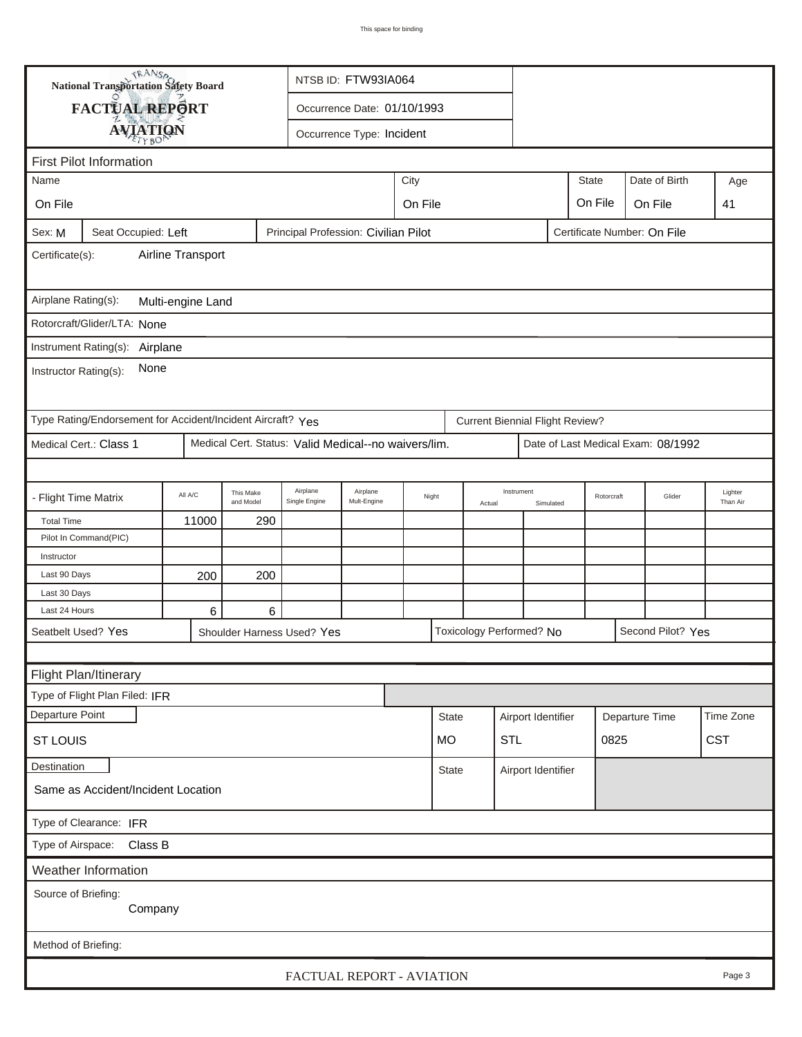|                                                                                                      | TRANSA                                                                                |                                       |                        |                                                      | NTSB ID: FTW93IA064                        |  |              |  |                                        |                         |                |            |                                    |                     |
|------------------------------------------------------------------------------------------------------|---------------------------------------------------------------------------------------|---------------------------------------|------------------------|------------------------------------------------------|--------------------------------------------|--|--------------|--|----------------------------------------|-------------------------|----------------|------------|------------------------------------|---------------------|
|                                                                                                      | National Transportation Safety Board<br>FACTUAL REPORT<br>Occurrence Date: 01/10/1993 |                                       |                        |                                                      |                                            |  |              |  |                                        |                         |                |            |                                    |                     |
|                                                                                                      |                                                                                       |                                       |                        |                                                      |                                            |  |              |  |                                        |                         |                |            |                                    |                     |
| <b>AVIATION</b><br>Occurrence Type: Incident                                                         |                                                                                       |                                       |                        |                                                      |                                            |  |              |  |                                        |                         |                |            |                                    |                     |
| <b>First Pilot Information</b>                                                                       |                                                                                       |                                       |                        |                                                      |                                            |  |              |  |                                        |                         |                |            |                                    |                     |
| Name                                                                                                 |                                                                                       | Date of Birth<br><b>State</b><br>City |                        |                                                      |                                            |  |              |  |                                        |                         |                | Age        |                                    |                     |
|                                                                                                      | On File<br>On File<br>On File<br>On File<br>41                                        |                                       |                        |                                                      |                                            |  |              |  |                                        |                         |                |            |                                    |                     |
| Principal Profession: Civilian Pilot<br>Certificate Number: On File<br>Seat Occupied: Left<br>Sex: M |                                                                                       |                                       |                        |                                                      |                                            |  |              |  |                                        |                         |                |            |                                    |                     |
| Airline Transport<br>Certificate(s):                                                                 |                                                                                       |                                       |                        |                                                      |                                            |  |              |  |                                        |                         |                |            |                                    |                     |
| Airplane Rating(s):<br>Multi-engine Land                                                             |                                                                                       |                                       |                        |                                                      |                                            |  |              |  |                                        |                         |                |            |                                    |                     |
|                                                                                                      | Rotorcraft/Glider/LTA: None                                                           |                                       |                        |                                                      |                                            |  |              |  |                                        |                         |                |            |                                    |                     |
|                                                                                                      |                                                                                       |                                       |                        |                                                      |                                            |  |              |  |                                        |                         |                |            |                                    |                     |
| Instrument Rating(s): Airplane<br>None<br>Instructor Rating(s):                                      |                                                                                       |                                       |                        |                                                      |                                            |  |              |  |                                        |                         |                |            |                                    |                     |
|                                                                                                      | Type Rating/Endorsement for Accident/Incident Aircraft? Yes                           |                                       |                        |                                                      |                                            |  |              |  | <b>Current Biennial Flight Review?</b> |                         |                |            |                                    |                     |
|                                                                                                      | Medical Cert.: Class 1                                                                |                                       |                        | Medical Cert. Status: Valid Medical--no waivers/lim. |                                            |  |              |  |                                        |                         |                |            | Date of Last Medical Exam: 08/1992 |                     |
|                                                                                                      |                                                                                       |                                       |                        |                                                      |                                            |  |              |  |                                        |                         |                |            |                                    |                     |
| - Flight Time Matrix                                                                                 |                                                                                       | All A/C                               | This Make<br>and Model | Airplane<br>Single Engine                            | Airplane<br>Night<br>Mult-Engine<br>Actual |  |              |  |                                        | Instrument<br>Simulated |                | Rotorcraft | Glider                             | Lighter<br>Than Air |
| <b>Total Time</b>                                                                                    |                                                                                       | 11000                                 | 290                    |                                                      |                                            |  |              |  |                                        |                         |                |            |                                    |                     |
|                                                                                                      | Pilot In Command(PIC)                                                                 |                                       |                        |                                                      |                                            |  |              |  |                                        |                         |                |            |                                    |                     |
| Instructor                                                                                           |                                                                                       |                                       |                        |                                                      |                                            |  |              |  |                                        |                         |                |            |                                    |                     |
| Last 90 Days                                                                                         |                                                                                       | 200                                   | 200                    |                                                      |                                            |  |              |  |                                        |                         |                |            |                                    |                     |
| Last 30 Days<br>Last 24 Hours                                                                        |                                                                                       | 6                                     | 6                      |                                                      |                                            |  |              |  |                                        |                         |                |            |                                    |                     |
|                                                                                                      |                                                                                       |                                       |                        |                                                      |                                            |  |              |  |                                        |                         |                |            |                                    |                     |
| Toxicology Performed? No<br>Second Pilot? Yes<br>Seatbelt Used? Yes<br>Shoulder Harness Used? Yes    |                                                                                       |                                       |                        |                                                      |                                            |  |              |  |                                        |                         |                |            |                                    |                     |
| Flight Plan/Itinerary                                                                                |                                                                                       |                                       |                        |                                                      |                                            |  |              |  |                                        |                         |                |            |                                    |                     |
|                                                                                                      | Type of Flight Plan Filed: IFR                                                        |                                       |                        |                                                      |                                            |  |              |  |                                        |                         |                |            |                                    |                     |
|                                                                                                      |                                                                                       |                                       |                        |                                                      |                                            |  |              |  |                                        |                         |                |            |                                    | Time Zone           |
| Departure Point                                                                                      |                                                                                       |                                       |                        |                                                      |                                            |  | <b>State</b> |  | Airport Identifier                     |                         | Departure Time |            |                                    |                     |
| <b>CST</b><br><b>STL</b><br>0825<br><b>ST LOUIS</b><br><b>MO</b>                                     |                                                                                       |                                       |                        |                                                      |                                            |  |              |  |                                        |                         |                |            |                                    |                     |
| Destination<br><b>State</b><br>Airport Identifier                                                    |                                                                                       |                                       |                        |                                                      |                                            |  |              |  |                                        |                         |                |            |                                    |                     |
| Same as Accident/Incident Location                                                                   |                                                                                       |                                       |                        |                                                      |                                            |  |              |  |                                        |                         |                |            |                                    |                     |
| Type of Clearance: IFR                                                                               |                                                                                       |                                       |                        |                                                      |                                            |  |              |  |                                        |                         |                |            |                                    |                     |
| Type of Airspace: Class B                                                                            |                                                                                       |                                       |                        |                                                      |                                            |  |              |  |                                        |                         |                |            |                                    |                     |
|                                                                                                      | Weather Information                                                                   |                                       |                        |                                                      |                                            |  |              |  |                                        |                         |                |            |                                    |                     |
| Source of Briefing:<br>Company                                                                       |                                                                                       |                                       |                        |                                                      |                                            |  |              |  |                                        |                         |                |            |                                    |                     |
| Method of Briefing:                                                                                  |                                                                                       |                                       |                        |                                                      |                                            |  |              |  |                                        |                         |                |            |                                    |                     |
|                                                                                                      |                                                                                       |                                       |                        | FACTUAL REPORT - AVIATION                            |                                            |  |              |  |                                        |                         |                |            |                                    | Page 3              |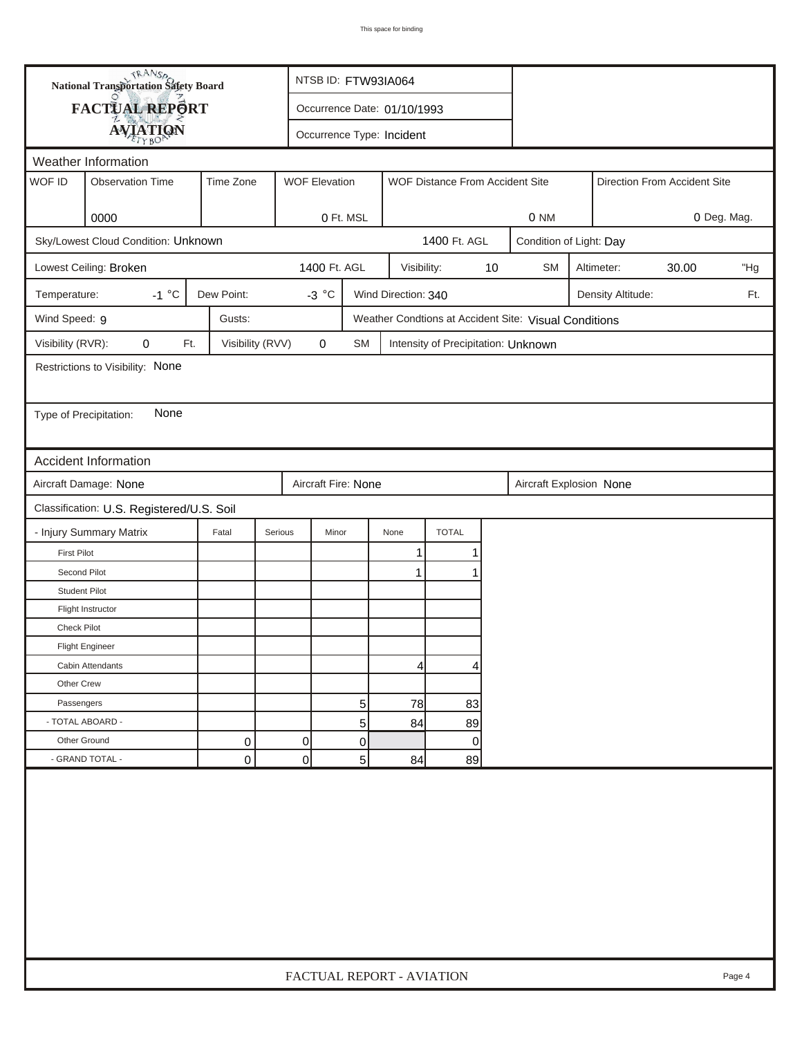| FACTUAL REPORT<br>Occurrence Date: 01/10/1993<br><b>AVIATION</b><br>Occurrence Type: Incident<br>Weather Information<br>WOF ID<br><b>Observation Time</b><br>Time Zone<br><b>WOF Elevation</b><br>WOF Distance From Accident Site<br>Direction From Accident Site<br>0000<br>0 Ft. MSL<br>0 Deg. Mag.<br>0 NM<br>Sky/Lowest Cloud Condition: Unknown<br>1400 Ft. AGL<br>Condition of Light: Day<br>1400 Ft. AGL<br>$10$<br>30.00<br>Lowest Ceiling: Broken<br>Visibility:<br><b>SM</b><br>Altimeter:<br>"Hg<br>$-1 °C$<br>Dew Point:<br>$-3 °C$<br>Wind Direction: 340<br>Temperature:<br>Density Altitude:<br>Ft.<br>Wind Speed: 9<br>Gusts:<br>Weather Condtions at Accident Site: Visual Conditions<br>Visibility (RVR):<br>0<br>Ft.<br>Visibility (RVV)<br>0<br><b>SM</b><br>Intensity of Precipitation: Unknown<br>Restrictions to Visibility: None<br>None<br>Type of Precipitation:<br>Accident Information<br>Aircraft Damage: None<br>Aircraft Fire: None<br>Aircraft Explosion None<br>Classification: U.S. Registered/U.S. Soil<br><b>TOTAL</b><br>- Injury Summary Matrix<br>Fatal<br>Serious<br>Minor<br>None<br><b>First Pilot</b><br>1<br>1<br>Second Pilot<br>1<br><b>Student Pilot</b><br>Flight Instructor<br>Check Pilot<br><b>Flight Engineer</b><br>Cabin Attendants<br>$\vert$<br>4<br>Other Crew<br>78<br>Passengers<br>5<br>83<br>- TOTAL ABOARD -<br>5<br>84<br>89<br>$\pmb{0}$<br>Other Ground<br>0<br>0<br>0<br> 0 <br>5<br>- GRAND TOTAL -<br>0<br>84<br>89 |  | <b>National Transportation Safety Board</b> |  |                           | NTSB ID: FTW93IA064 |  |  |  |  |  |  |  |        |
|-----------------------------------------------------------------------------------------------------------------------------------------------------------------------------------------------------------------------------------------------------------------------------------------------------------------------------------------------------------------------------------------------------------------------------------------------------------------------------------------------------------------------------------------------------------------------------------------------------------------------------------------------------------------------------------------------------------------------------------------------------------------------------------------------------------------------------------------------------------------------------------------------------------------------------------------------------------------------------------------------------------------------------------------------------------------------------------------------------------------------------------------------------------------------------------------------------------------------------------------------------------------------------------------------------------------------------------------------------------------------------------------------------------------------------------------------------------------------------------------|--|---------------------------------------------|--|---------------------------|---------------------|--|--|--|--|--|--|--|--------|
|                                                                                                                                                                                                                                                                                                                                                                                                                                                                                                                                                                                                                                                                                                                                                                                                                                                                                                                                                                                                                                                                                                                                                                                                                                                                                                                                                                                                                                                                                         |  |                                             |  |                           |                     |  |  |  |  |  |  |  |        |
|                                                                                                                                                                                                                                                                                                                                                                                                                                                                                                                                                                                                                                                                                                                                                                                                                                                                                                                                                                                                                                                                                                                                                                                                                                                                                                                                                                                                                                                                                         |  |                                             |  |                           |                     |  |  |  |  |  |  |  |        |
|                                                                                                                                                                                                                                                                                                                                                                                                                                                                                                                                                                                                                                                                                                                                                                                                                                                                                                                                                                                                                                                                                                                                                                                                                                                                                                                                                                                                                                                                                         |  |                                             |  |                           |                     |  |  |  |  |  |  |  |        |
|                                                                                                                                                                                                                                                                                                                                                                                                                                                                                                                                                                                                                                                                                                                                                                                                                                                                                                                                                                                                                                                                                                                                                                                                                                                                                                                                                                                                                                                                                         |  |                                             |  |                           |                     |  |  |  |  |  |  |  |        |
|                                                                                                                                                                                                                                                                                                                                                                                                                                                                                                                                                                                                                                                                                                                                                                                                                                                                                                                                                                                                                                                                                                                                                                                                                                                                                                                                                                                                                                                                                         |  |                                             |  |                           |                     |  |  |  |  |  |  |  |        |
|                                                                                                                                                                                                                                                                                                                                                                                                                                                                                                                                                                                                                                                                                                                                                                                                                                                                                                                                                                                                                                                                                                                                                                                                                                                                                                                                                                                                                                                                                         |  |                                             |  |                           |                     |  |  |  |  |  |  |  |        |
|                                                                                                                                                                                                                                                                                                                                                                                                                                                                                                                                                                                                                                                                                                                                                                                                                                                                                                                                                                                                                                                                                                                                                                                                                                                                                                                                                                                                                                                                                         |  |                                             |  |                           |                     |  |  |  |  |  |  |  |        |
|                                                                                                                                                                                                                                                                                                                                                                                                                                                                                                                                                                                                                                                                                                                                                                                                                                                                                                                                                                                                                                                                                                                                                                                                                                                                                                                                                                                                                                                                                         |  |                                             |  |                           |                     |  |  |  |  |  |  |  |        |
|                                                                                                                                                                                                                                                                                                                                                                                                                                                                                                                                                                                                                                                                                                                                                                                                                                                                                                                                                                                                                                                                                                                                                                                                                                                                                                                                                                                                                                                                                         |  |                                             |  |                           |                     |  |  |  |  |  |  |  |        |
|                                                                                                                                                                                                                                                                                                                                                                                                                                                                                                                                                                                                                                                                                                                                                                                                                                                                                                                                                                                                                                                                                                                                                                                                                                                                                                                                                                                                                                                                                         |  |                                             |  |                           |                     |  |  |  |  |  |  |  |        |
|                                                                                                                                                                                                                                                                                                                                                                                                                                                                                                                                                                                                                                                                                                                                                                                                                                                                                                                                                                                                                                                                                                                                                                                                                                                                                                                                                                                                                                                                                         |  |                                             |  |                           |                     |  |  |  |  |  |  |  |        |
|                                                                                                                                                                                                                                                                                                                                                                                                                                                                                                                                                                                                                                                                                                                                                                                                                                                                                                                                                                                                                                                                                                                                                                                                                                                                                                                                                                                                                                                                                         |  |                                             |  |                           |                     |  |  |  |  |  |  |  |        |
|                                                                                                                                                                                                                                                                                                                                                                                                                                                                                                                                                                                                                                                                                                                                                                                                                                                                                                                                                                                                                                                                                                                                                                                                                                                                                                                                                                                                                                                                                         |  |                                             |  |                           |                     |  |  |  |  |  |  |  |        |
|                                                                                                                                                                                                                                                                                                                                                                                                                                                                                                                                                                                                                                                                                                                                                                                                                                                                                                                                                                                                                                                                                                                                                                                                                                                                                                                                                                                                                                                                                         |  |                                             |  |                           |                     |  |  |  |  |  |  |  |        |
|                                                                                                                                                                                                                                                                                                                                                                                                                                                                                                                                                                                                                                                                                                                                                                                                                                                                                                                                                                                                                                                                                                                                                                                                                                                                                                                                                                                                                                                                                         |  |                                             |  |                           |                     |  |  |  |  |  |  |  |        |
|                                                                                                                                                                                                                                                                                                                                                                                                                                                                                                                                                                                                                                                                                                                                                                                                                                                                                                                                                                                                                                                                                                                                                                                                                                                                                                                                                                                                                                                                                         |  |                                             |  |                           |                     |  |  |  |  |  |  |  |        |
|                                                                                                                                                                                                                                                                                                                                                                                                                                                                                                                                                                                                                                                                                                                                                                                                                                                                                                                                                                                                                                                                                                                                                                                                                                                                                                                                                                                                                                                                                         |  |                                             |  |                           |                     |  |  |  |  |  |  |  |        |
|                                                                                                                                                                                                                                                                                                                                                                                                                                                                                                                                                                                                                                                                                                                                                                                                                                                                                                                                                                                                                                                                                                                                                                                                                                                                                                                                                                                                                                                                                         |  |                                             |  |                           |                     |  |  |  |  |  |  |  |        |
|                                                                                                                                                                                                                                                                                                                                                                                                                                                                                                                                                                                                                                                                                                                                                                                                                                                                                                                                                                                                                                                                                                                                                                                                                                                                                                                                                                                                                                                                                         |  |                                             |  |                           |                     |  |  |  |  |  |  |  |        |
|                                                                                                                                                                                                                                                                                                                                                                                                                                                                                                                                                                                                                                                                                                                                                                                                                                                                                                                                                                                                                                                                                                                                                                                                                                                                                                                                                                                                                                                                                         |  |                                             |  |                           |                     |  |  |  |  |  |  |  |        |
|                                                                                                                                                                                                                                                                                                                                                                                                                                                                                                                                                                                                                                                                                                                                                                                                                                                                                                                                                                                                                                                                                                                                                                                                                                                                                                                                                                                                                                                                                         |  |                                             |  |                           |                     |  |  |  |  |  |  |  |        |
|                                                                                                                                                                                                                                                                                                                                                                                                                                                                                                                                                                                                                                                                                                                                                                                                                                                                                                                                                                                                                                                                                                                                                                                                                                                                                                                                                                                                                                                                                         |  |                                             |  |                           |                     |  |  |  |  |  |  |  |        |
|                                                                                                                                                                                                                                                                                                                                                                                                                                                                                                                                                                                                                                                                                                                                                                                                                                                                                                                                                                                                                                                                                                                                                                                                                                                                                                                                                                                                                                                                                         |  |                                             |  |                           |                     |  |  |  |  |  |  |  |        |
|                                                                                                                                                                                                                                                                                                                                                                                                                                                                                                                                                                                                                                                                                                                                                                                                                                                                                                                                                                                                                                                                                                                                                                                                                                                                                                                                                                                                                                                                                         |  |                                             |  |                           |                     |  |  |  |  |  |  |  |        |
|                                                                                                                                                                                                                                                                                                                                                                                                                                                                                                                                                                                                                                                                                                                                                                                                                                                                                                                                                                                                                                                                                                                                                                                                                                                                                                                                                                                                                                                                                         |  |                                             |  |                           |                     |  |  |  |  |  |  |  |        |
|                                                                                                                                                                                                                                                                                                                                                                                                                                                                                                                                                                                                                                                                                                                                                                                                                                                                                                                                                                                                                                                                                                                                                                                                                                                                                                                                                                                                                                                                                         |  |                                             |  |                           |                     |  |  |  |  |  |  |  |        |
|                                                                                                                                                                                                                                                                                                                                                                                                                                                                                                                                                                                                                                                                                                                                                                                                                                                                                                                                                                                                                                                                                                                                                                                                                                                                                                                                                                                                                                                                                         |  |                                             |  |                           |                     |  |  |  |  |  |  |  |        |
|                                                                                                                                                                                                                                                                                                                                                                                                                                                                                                                                                                                                                                                                                                                                                                                                                                                                                                                                                                                                                                                                                                                                                                                                                                                                                                                                                                                                                                                                                         |  |                                             |  |                           |                     |  |  |  |  |  |  |  |        |
|                                                                                                                                                                                                                                                                                                                                                                                                                                                                                                                                                                                                                                                                                                                                                                                                                                                                                                                                                                                                                                                                                                                                                                                                                                                                                                                                                                                                                                                                                         |  |                                             |  |                           |                     |  |  |  |  |  |  |  |        |
|                                                                                                                                                                                                                                                                                                                                                                                                                                                                                                                                                                                                                                                                                                                                                                                                                                                                                                                                                                                                                                                                                                                                                                                                                                                                                                                                                                                                                                                                                         |  |                                             |  |                           |                     |  |  |  |  |  |  |  |        |
|                                                                                                                                                                                                                                                                                                                                                                                                                                                                                                                                                                                                                                                                                                                                                                                                                                                                                                                                                                                                                                                                                                                                                                                                                                                                                                                                                                                                                                                                                         |  |                                             |  |                           |                     |  |  |  |  |  |  |  |        |
|                                                                                                                                                                                                                                                                                                                                                                                                                                                                                                                                                                                                                                                                                                                                                                                                                                                                                                                                                                                                                                                                                                                                                                                                                                                                                                                                                                                                                                                                                         |  |                                             |  | FACTUAL REPORT - AVIATION |                     |  |  |  |  |  |  |  | Page 4 |